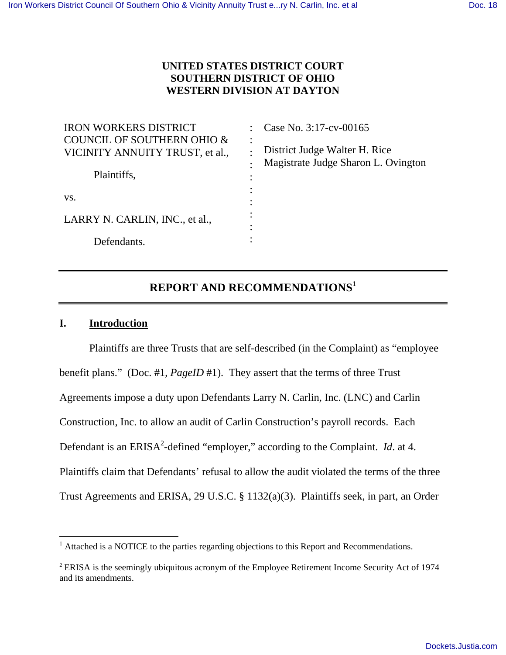# **UNITED STATES DISTRICT COURT SOUTHERN DISTRICT OF OHIO WESTERN DIVISION AT DAYTON**

| <b>IRON WORKERS DISTRICT</b>                                             | Case No. 3:17-cv-00165                                                                 |
|--------------------------------------------------------------------------|----------------------------------------------------------------------------------------|
| <b>COUNCIL OF SOUTHERN OHIO &amp;</b><br>VICINITY ANNUITY TRUST, et al., | $\ddot{\cdot}$<br>District Judge Walter H. Rice<br>Magistrate Judge Sharon L. Ovington |
| Plaintiffs,                                                              | ٠                                                                                      |
| VS.                                                                      | ٠                                                                                      |
| LARRY N. CARLIN, INC., et al.,                                           | ٠                                                                                      |
| Defendants.                                                              |                                                                                        |

# **REPORT AND RECOMMENDATIONS<sup>1</sup>**

## **I. Introduction**

Plaintiffs are three Trusts that are self-described (in the Complaint) as "employee benefit plans." (Doc. #1, *PageID* #1). They assert that the terms of three Trust Agreements impose a duty upon Defendants Larry N. Carlin, Inc. (LNC) and Carlin Construction, Inc. to allow an audit of Carlin Construction's payroll records. Each Defendant is an ERISA<sup>2</sup>-defined "employer," according to the Complaint. *Id.* at 4. Plaintiffs claim that Defendants' refusal to allow the audit violated the terms of the three Trust Agreements and ERISA, 29 U.S.C. § 1132(a)(3). Plaintiffs seek, in part, an Order

<sup>&</sup>lt;sup>1</sup> Attached is a NOTICE to the parties regarding objections to this Report and Recommendations.

<sup>&</sup>lt;sup>2</sup> ERISA is the seemingly ubiquitous acronym of the Employee Retirement Income Security Act of 1974 and its amendments.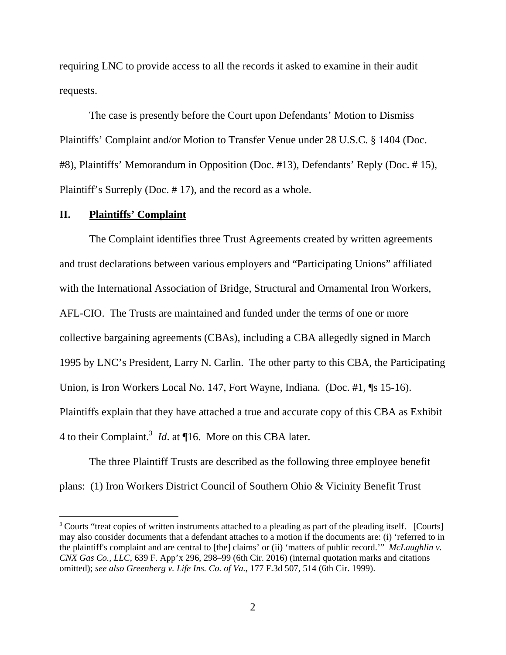requiring LNC to provide access to all the records it asked to examine in their audit requests.

The case is presently before the Court upon Defendants' Motion to Dismiss Plaintiffs' Complaint and/or Motion to Transfer Venue under 28 U.S.C. § 1404 (Doc. #8), Plaintiffs' Memorandum in Opposition (Doc. #13), Defendants' Reply (Doc. # 15), Plaintiff's Surreply (Doc. # 17), and the record as a whole.

## **II. Plaintiffs' Complaint**

 The Complaint identifies three Trust Agreements created by written agreements and trust declarations between various employers and "Participating Unions" affiliated with the International Association of Bridge, Structural and Ornamental Iron Workers, AFL-CIO. The Trusts are maintained and funded under the terms of one or more collective bargaining agreements (CBAs), including a CBA allegedly signed in March 1995 by LNC's President, Larry N. Carlin. The other party to this CBA, the Participating Union, is Iron Workers Local No. 147, Fort Wayne, Indiana. (Doc. #1, ¶s 15-16). Plaintiffs explain that they have attached a true and accurate copy of this CBA as Exhibit 4 to their Complaint.<sup>3</sup> *Id*. at ¶16. More on this CBA later.

 The three Plaintiff Trusts are described as the following three employee benefit plans: (1) Iron Workers District Council of Southern Ohio & Vicinity Benefit Trust

<sup>&</sup>lt;sup>3</sup> Courts "treat copies of written instruments attached to a pleading as part of the pleading itself. [Courts] may also consider documents that a defendant attaches to a motion if the documents are: (i) 'referred to in the plaintiff's complaint and are central to [the] claims' or (ii) 'matters of public record.'" *McLaughlin v. CNX Gas Co., LLC*, 639 F. App'x 296, 298–99 (6th Cir. 2016) (internal quotation marks and citations omitted); *see also Greenberg v. Life Ins. Co. of Va.*, 177 F.3d 507, 514 (6th Cir. 1999).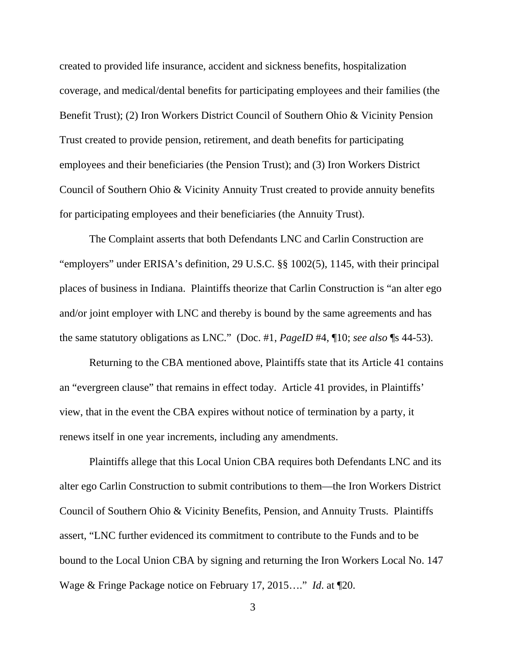created to provided life insurance, accident and sickness benefits, hospitalization coverage, and medical/dental benefits for participating employees and their families (the Benefit Trust); (2) Iron Workers District Council of Southern Ohio & Vicinity Pension Trust created to provide pension, retirement, and death benefits for participating employees and their beneficiaries (the Pension Trust); and (3) Iron Workers District Council of Southern Ohio & Vicinity Annuity Trust created to provide annuity benefits for participating employees and their beneficiaries (the Annuity Trust).

 The Complaint asserts that both Defendants LNC and Carlin Construction are "employers" under ERISA's definition, 29 U.S.C. §§ 1002(5), 1145, with their principal places of business in Indiana. Plaintiffs theorize that Carlin Construction is "an alter ego and/or joint employer with LNC and thereby is bound by the same agreements and has the same statutory obligations as LNC." (Doc. #1, *PageID* #4, ¶10; *see also* ¶s 44-53).

 Returning to the CBA mentioned above, Plaintiffs state that its Article 41 contains an "evergreen clause" that remains in effect today. Article 41 provides, in Plaintiffs' view, that in the event the CBA expires without notice of termination by a party, it renews itself in one year increments, including any amendments.

 Plaintiffs allege that this Local Union CBA requires both Defendants LNC and its alter ego Carlin Construction to submit contributions to them—the Iron Workers District Council of Southern Ohio & Vicinity Benefits, Pension, and Annuity Trusts. Plaintiffs assert, "LNC further evidenced its commitment to contribute to the Funds and to be bound to the Local Union CBA by signing and returning the Iron Workers Local No. 147 Wage & Fringe Package notice on February 17, 2015…." *Id*. at ¶20.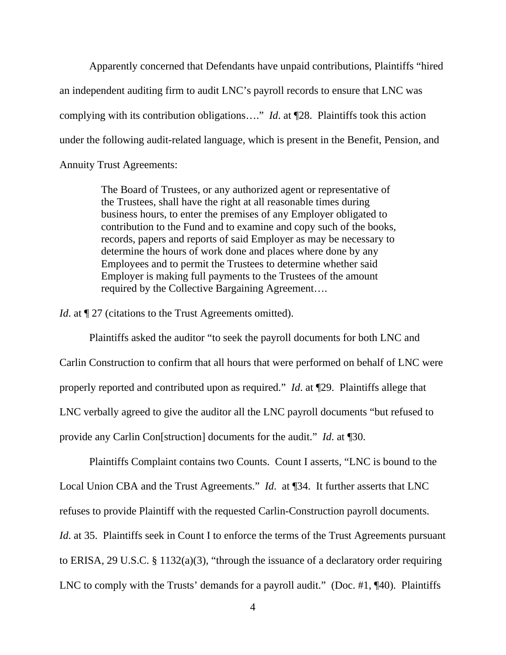Apparently concerned that Defendants have unpaid contributions, Plaintiffs "hired an independent auditing firm to audit LNC's payroll records to ensure that LNC was complying with its contribution obligations…." *Id*. at ¶28. Plaintiffs took this action under the following audit-related language, which is present in the Benefit, Pension, and Annuity Trust Agreements:

> The Board of Trustees, or any authorized agent or representative of the Trustees, shall have the right at all reasonable times during business hours, to enter the premises of any Employer obligated to contribution to the Fund and to examine and copy such of the books, records, papers and reports of said Employer as may be necessary to determine the hours of work done and places where done by any Employees and to permit the Trustees to determine whether said Employer is making full payments to the Trustees of the amount required by the Collective Bargaining Agreement….

*Id.* at  $\P$  27 (citations to the Trust Agreements omitted).

 Plaintiffs asked the auditor "to seek the payroll documents for both LNC and Carlin Construction to confirm that all hours that were performed on behalf of LNC were properly reported and contributed upon as required." *Id*. at ¶29. Plaintiffs allege that LNC verbally agreed to give the auditor all the LNC payroll documents "but refused to provide any Carlin Con[struction] documents for the audit." *Id*. at ¶30.

 Plaintiffs Complaint contains two Counts. Count I asserts, "LNC is bound to the Local Union CBA and the Trust Agreements." *Id*. at ¶34. It further asserts that LNC refuses to provide Plaintiff with the requested Carlin-Construction payroll documents. *Id.* at 35. Plaintiffs seek in Count I to enforce the terms of the Trust Agreements pursuant to ERISA, 29 U.S.C. § 1132(a)(3), "through the issuance of a declaratory order requiring LNC to comply with the Trusts' demands for a payroll audit." (Doc. #1, ¶40). Plaintiffs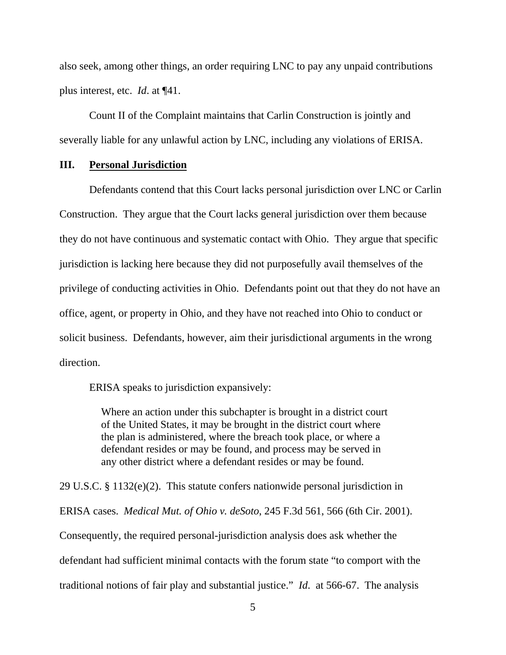also seek, among other things, an order requiring LNC to pay any unpaid contributions plus interest, etc. *Id*. at ¶41.

Count II of the Complaint maintains that Carlin Construction is jointly and severally liable for any unlawful action by LNC, including any violations of ERISA.

#### **III. Personal Jurisdiction**

 Defendants contend that this Court lacks personal jurisdiction over LNC or Carlin Construction. They argue that the Court lacks general jurisdiction over them because they do not have continuous and systematic contact with Ohio. They argue that specific jurisdiction is lacking here because they did not purposefully avail themselves of the privilege of conducting activities in Ohio. Defendants point out that they do not have an office, agent, or property in Ohio, and they have not reached into Ohio to conduct or solicit business. Defendants, however, aim their jurisdictional arguments in the wrong direction.

ERISA speaks to jurisdiction expansively:

Where an action under this subchapter is brought in a district court of the United States, it may be brought in the district court where the plan is administered, where the breach took place, or where a defendant resides or may be found, and process may be served in any other district where a defendant resides or may be found.

29 U.S.C. § 1132(e)(2). This statute confers nationwide personal jurisdiction in ERISA cases. *Medical Mut. of Ohio v. deSoto*, 245 F.3d 561, 566 (6th Cir. 2001). Consequently, the required personal-jurisdiction analysis does ask whether the defendant had sufficient minimal contacts with the forum state "to comport with the traditional notions of fair play and substantial justice." *Id*. at 566-67. The analysis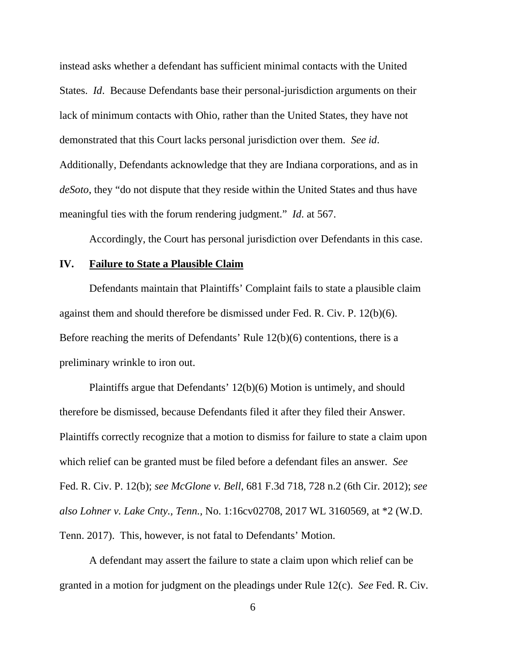instead asks whether a defendant has sufficient minimal contacts with the United States. *Id*. Because Defendants base their personal-jurisdiction arguments on their lack of minimum contacts with Ohio, rather than the United States, they have not demonstrated that this Court lacks personal jurisdiction over them. *See id*. Additionally, Defendants acknowledge that they are Indiana corporations, and as in *deSoto*, they "do not dispute that they reside within the United States and thus have meaningful ties with the forum rendering judgment." *Id*. at 567.

Accordingly, the Court has personal jurisdiction over Defendants in this case.

#### **IV. Failure to State a Plausible Claim**

 Defendants maintain that Plaintiffs' Complaint fails to state a plausible claim against them and should therefore be dismissed under Fed. R. Civ. P. 12(b)(6). Before reaching the merits of Defendants' Rule 12(b)(6) contentions, there is a preliminary wrinkle to iron out.

 Plaintiffs argue that Defendants' 12(b)(6) Motion is untimely, and should therefore be dismissed, because Defendants filed it after they filed their Answer. Plaintiffs correctly recognize that a motion to dismiss for failure to state a claim upon which relief can be granted must be filed before a defendant files an answer. *See* Fed. R. Civ. P. 12(b); *see McGlone v. Bell*, 681 F.3d 718, 728 n.2 (6th Cir. 2012); *see also Lohner v. Lake Cnty., Tenn.,* No. 1:16cv02708, 2017 WL 3160569, at \*2 (W.D. Tenn. 2017). This, however, is not fatal to Defendants' Motion.

 A defendant may assert the failure to state a claim upon which relief can be granted in a motion for judgment on the pleadings under Rule 12(c). *See* Fed. R. Civ.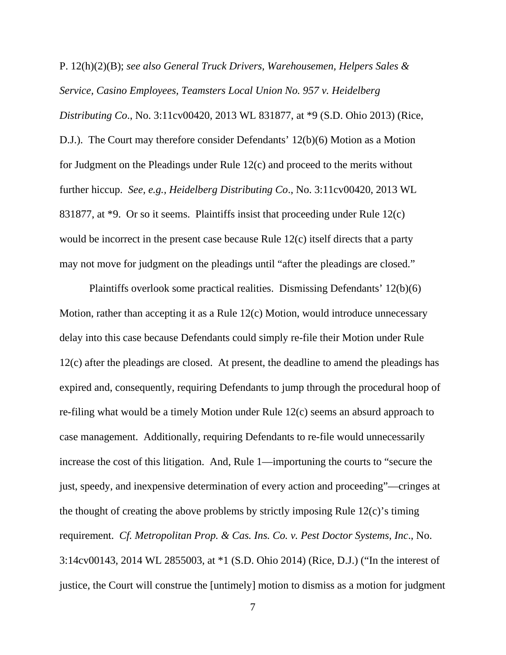P. 12(h)(2)(B); *see also General Truck Drivers, Warehousemen, Helpers Sales & Service, Casino Employees, Teamsters Local Union No. 957 v. Heidelberg Distributing Co*., No. 3:11cv00420, 2013 WL 831877, at \*9 (S.D. Ohio 2013) (Rice, D.J.). The Court may therefore consider Defendants' 12(b)(6) Motion as a Motion for Judgment on the Pleadings under Rule 12(c) and proceed to the merits without further hiccup. *See, e.g., Heidelberg Distributing Co*., No. 3:11cv00420, 2013 WL 831877, at \*9. Or so it seems. Plaintiffs insist that proceeding under Rule 12(c) would be incorrect in the present case because Rule 12(c) itself directs that a party may not move for judgment on the pleadings until "after the pleadings are closed."

 Plaintiffs overlook some practical realities. Dismissing Defendants' 12(b)(6) Motion, rather than accepting it as a Rule 12(c) Motion, would introduce unnecessary delay into this case because Defendants could simply re-file their Motion under Rule 12(c) after the pleadings are closed. At present, the deadline to amend the pleadings has expired and, consequently, requiring Defendants to jump through the procedural hoop of re-filing what would be a timely Motion under Rule 12(c) seems an absurd approach to case management. Additionally, requiring Defendants to re-file would unnecessarily increase the cost of this litigation. And, Rule 1—importuning the courts to "secure the just, speedy, and inexpensive determination of every action and proceeding"—cringes at the thought of creating the above problems by strictly imposing Rule 12(c)'s timing requirement. *Cf. Metropolitan Prop. & Cas. Ins. Co. v. Pest Doctor Systems, Inc*., No. 3:14cv00143, 2014 WL 2855003, at \*1 (S.D. Ohio 2014) (Rice, D.J.) ("In the interest of justice, the Court will construe the [untimely] motion to dismiss as a motion for judgment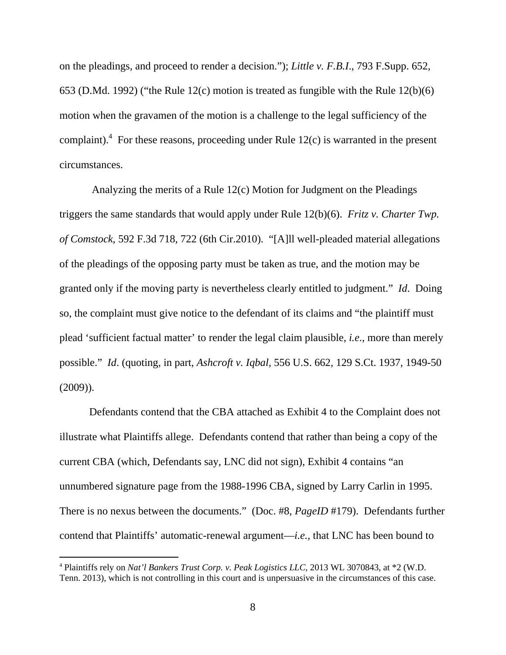on the pleadings, and proceed to render a decision."); *Little v. F.B.I*., 793 F.Supp. 652, 653 (D.Md. 1992) ("the Rule 12(c) motion is treated as fungible with the Rule 12(b)(6) motion when the gravamen of the motion is a challenge to the legal sufficiency of the complaint).<sup>4</sup> For these reasons, proceeding under Rule 12(c) is warranted in the present circumstances.

 Analyzing the merits of a Rule 12(c) Motion for Judgment on the Pleadings triggers the same standards that would apply under Rule 12(b)(6). *Fritz v. Charter Twp. of Comstock,* 592 F.3d 718, 722 (6th Cir.2010). "[A]ll well-pleaded material allegations of the pleadings of the opposing party must be taken as true, and the motion may be granted only if the moving party is nevertheless clearly entitled to judgment." *Id*. Doing so, the complaint must give notice to the defendant of its claims and "the plaintiff must plead 'sufficient factual matter' to render the legal claim plausible, *i.e*., more than merely possible." *Id*. (quoting, in part, *Ashcroft v. Iqbal,* 556 U.S. 662, 129 S.Ct. 1937, 1949-50 (2009)).

 Defendants contend that the CBA attached as Exhibit 4 to the Complaint does not illustrate what Plaintiffs allege. Defendants contend that rather than being a copy of the current CBA (which, Defendants say, LNC did not sign), Exhibit 4 contains "an unnumbered signature page from the 1988-1996 CBA, signed by Larry Carlin in 1995. There is no nexus between the documents." (Doc. #8, *PageID* #179). Defendants further contend that Plaintiffs' automatic-renewal argument—*i.e.,* that LNC has been bound to

<sup>4</sup> Plaintiffs rely on *Nat'l Bankers Trust Corp. v. Peak Logistics LLC*, 2013 WL 3070843, at \*2 (W.D. Tenn. 2013), which is not controlling in this court and is unpersuasive in the circumstances of this case.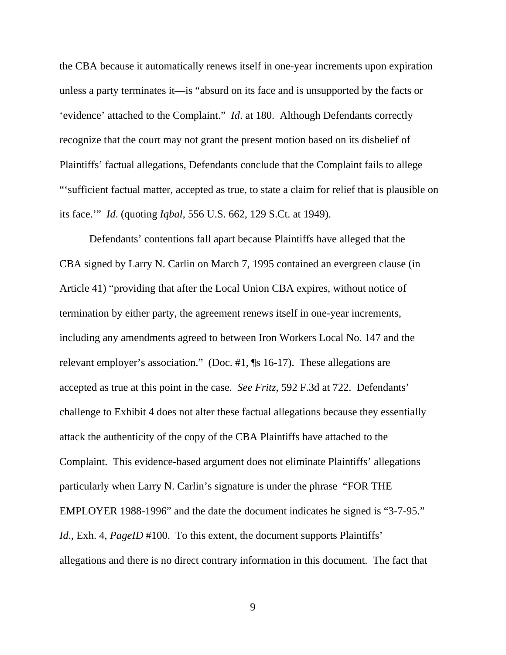the CBA because it automatically renews itself in one-year increments upon expiration unless a party terminates it—is "absurd on its face and is unsupported by the facts or 'evidence' attached to the Complaint." *Id*. at 180. Although Defendants correctly recognize that the court may not grant the present motion based on its disbelief of Plaintiffs' factual allegations, Defendants conclude that the Complaint fails to allege "'sufficient factual matter, accepted as true, to state a claim for relief that is plausible on its face.'" *Id*. (quoting *Iqbal*, 556 U.S. 662, 129 S.Ct. at 1949).

 Defendants' contentions fall apart because Plaintiffs have alleged that the CBA signed by Larry N. Carlin on March 7, 1995 contained an evergreen clause (in Article 41) "providing that after the Local Union CBA expires, without notice of termination by either party, the agreement renews itself in one-year increments, including any amendments agreed to between Iron Workers Local No. 147 and the relevant employer's association." (Doc. #1, ¶s 16-17). These allegations are accepted as true at this point in the case. *See Fritz,* 592 F.3d at 722. Defendants' challenge to Exhibit 4 does not alter these factual allegations because they essentially attack the authenticity of the copy of the CBA Plaintiffs have attached to the Complaint. This evidence-based argument does not eliminate Plaintiffs' allegations particularly when Larry N. Carlin's signature is under the phrase "FOR THE EMPLOYER 1988-1996" and the date the document indicates he signed is "3-7-95." *Id.*, Exh. 4, *PageID* #100. To this extent, the document supports Plaintiffs' allegations and there is no direct contrary information in this document. The fact that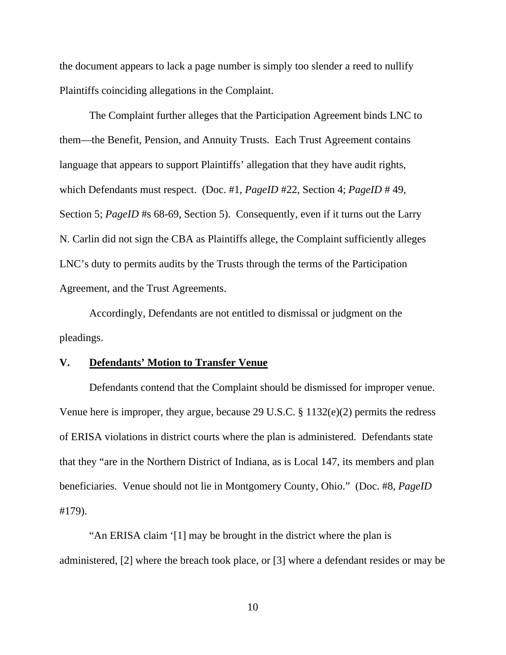the document appears to lack a page number is simply too slender a reed to nullify Plaintiffs coinciding allegations in the Complaint.

 The Complaint further alleges that the Participation Agreement binds LNC to them—the Benefit, Pension, and Annuity Trusts. Each Trust Agreement contains language that appears to support Plaintiffs' allegation that they have audit rights, which Defendants must respect. (Doc. #1, *PageID* #22, Section 4; *PageID* # 49, Section 5; *PageID* #s 68-69, Section 5). Consequently, even if it turns out the Larry N. Carlin did not sign the CBA as Plaintiffs allege, the Complaint sufficiently alleges LNC's duty to permits audits by the Trusts through the terms of the Participation Agreement, and the Trust Agreements.

 Accordingly, Defendants are not entitled to dismissal or judgment on the pleadings.

#### **V. Defendants' Motion to Transfer Venue**

Defendants contend that the Complaint should be dismissed for improper venue. Venue here is improper, they argue, because 29 U.S.C. § 1132(e)(2) permits the redress of ERISA violations in district courts where the plan is administered. Defendants state that they "are in the Northern District of Indiana, as is Local 147, its members and plan beneficiaries. Venue should not lie in Montgomery County, Ohio." (Doc. #8, *PageID* #179).

"An ERISA claim '[1] may be brought in the district where the plan is administered, [2] where the breach took place, or [3] where a defendant resides or may be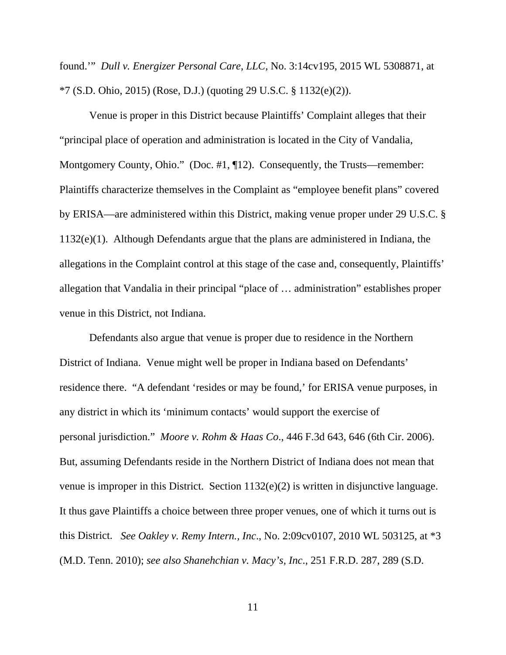found.'" *Dull v. Energizer Personal Care, LLC*, No. 3:14cv195, 2015 WL 5308871, at \*7 (S.D. Ohio, 2015) (Rose, D.J.) (quoting 29 U.S.C. § 1132(e)(2)).

Venue is proper in this District because Plaintiffs' Complaint alleges that their "principal place of operation and administration is located in the City of Vandalia, Montgomery County, Ohio." (Doc. #1, ¶12). Consequently, the Trusts—remember: Plaintiffs characterize themselves in the Complaint as "employee benefit plans" covered by ERISA—are administered within this District, making venue proper under 29 U.S.C. § 1132(e)(1). Although Defendants argue that the plans are administered in Indiana, the allegations in the Complaint control at this stage of the case and, consequently, Plaintiffs' allegation that Vandalia in their principal "place of … administration" establishes proper venue in this District, not Indiana.

Defendants also argue that venue is proper due to residence in the Northern District of Indiana. Venue might well be proper in Indiana based on Defendants' residence there. "A defendant 'resides or may be found,' for ERISA venue purposes, in any district in which its 'minimum contacts' would support the exercise of personal jurisdiction." *Moore v. Rohm & Haas Co*., 446 F.3d 643, 646 (6th Cir. 2006). But, assuming Defendants reside in the Northern District of Indiana does not mean that venue is improper in this District. Section 1132(e)(2) is written in disjunctive language. It thus gave Plaintiffs a choice between three proper venues, one of which it turns out is this District. *See Oakley v. Remy Intern., Inc*., No. 2:09cv0107, 2010 WL 503125, at \*3 (M.D. Tenn. 2010); *see also Shanehchian v. Macy's, Inc*., 251 F.R.D. 287, 289 (S.D.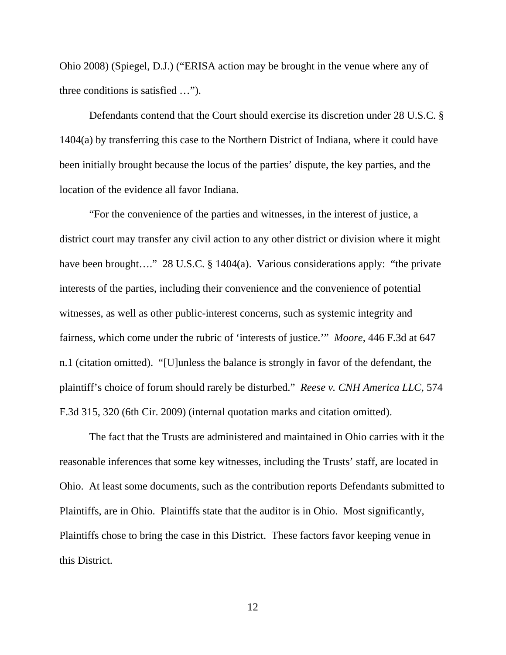Ohio 2008) (Spiegel, D.J.) ("ERISA action may be brought in the venue where any of three conditions is satisfied …").

Defendants contend that the Court should exercise its discretion under 28 U.S.C. § 1404(a) by transferring this case to the Northern District of Indiana, where it could have been initially brought because the locus of the parties' dispute, the key parties, and the location of the evidence all favor Indiana.

"For the convenience of the parties and witnesses, in the interest of justice, a district court may transfer any civil action to any other district or division where it might have been brought…." 28 U.S.C. § 1404(a). Various considerations apply: "the private interests of the parties, including their convenience and the convenience of potential witnesses, as well as other public-interest concerns, such as systemic integrity and fairness, which come under the rubric of 'interests of justice.'" *Moore*, 446 F.3d at 647 n.1 (citation omitted). "[U]unless the balance is strongly in favor of the defendant, the plaintiff's choice of forum should rarely be disturbed." *Reese v. CNH America LLC*, 574 F.3d 315, 320 (6th Cir. 2009) (internal quotation marks and citation omitted).

The fact that the Trusts are administered and maintained in Ohio carries with it the reasonable inferences that some key witnesses, including the Trusts' staff, are located in Ohio. At least some documents, such as the contribution reports Defendants submitted to Plaintiffs, are in Ohio. Plaintiffs state that the auditor is in Ohio. Most significantly, Plaintiffs chose to bring the case in this District. These factors favor keeping venue in this District.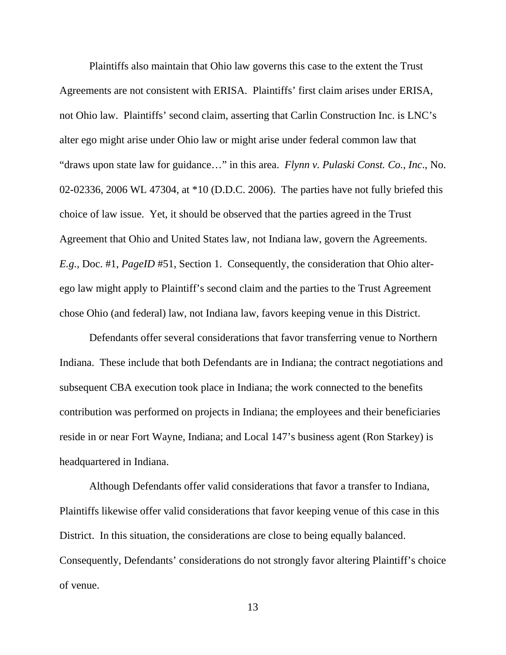Plaintiffs also maintain that Ohio law governs this case to the extent the Trust Agreements are not consistent with ERISA. Plaintiffs' first claim arises under ERISA, not Ohio law. Plaintiffs' second claim, asserting that Carlin Construction Inc. is LNC's alter ego might arise under Ohio law or might arise under federal common law that "draws upon state law for guidance…" in this area. *Flynn v. Pulaski Const. Co., Inc*., No. 02-02336, 2006 WL 47304, at \*10 (D.D.C. 2006). The parties have not fully briefed this choice of law issue. Yet, it should be observed that the parties agreed in the Trust Agreement that Ohio and United States law, not Indiana law, govern the Agreements. *E.g.*, Doc. #1, *PageID* #51, Section 1. Consequently, the consideration that Ohio alterego law might apply to Plaintiff's second claim and the parties to the Trust Agreement chose Ohio (and federal) law, not Indiana law, favors keeping venue in this District.

Defendants offer several considerations that favor transferring venue to Northern Indiana. These include that both Defendants are in Indiana; the contract negotiations and subsequent CBA execution took place in Indiana; the work connected to the benefits contribution was performed on projects in Indiana; the employees and their beneficiaries reside in or near Fort Wayne, Indiana; and Local 147's business agent (Ron Starkey) is headquartered in Indiana.

Although Defendants offer valid considerations that favor a transfer to Indiana, Plaintiffs likewise offer valid considerations that favor keeping venue of this case in this District. In this situation, the considerations are close to being equally balanced. Consequently, Defendants' considerations do not strongly favor altering Plaintiff's choice of venue.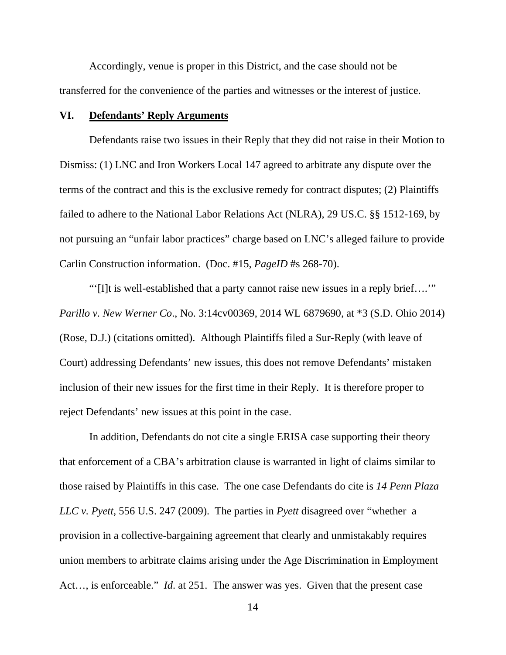Accordingly, venue is proper in this District, and the case should not be transferred for the convenience of the parties and witnesses or the interest of justice.

## **VI. Defendants' Reply Arguments**

Defendants raise two issues in their Reply that they did not raise in their Motion to Dismiss: (1) LNC and Iron Workers Local 147 agreed to arbitrate any dispute over the terms of the contract and this is the exclusive remedy for contract disputes; (2) Plaintiffs failed to adhere to the National Labor Relations Act (NLRA), 29 US.C. §§ 1512-169, by not pursuing an "unfair labor practices" charge based on LNC's alleged failure to provide Carlin Construction information. (Doc. #15, *PageID* #s 268-70).

"'[I]t is well-established that a party cannot raise new issues in a reply brief….'" *Parillo v. New Werner Co*., No. 3:14cv00369, 2014 WL 6879690, at \*3 (S.D. Ohio 2014) (Rose, D.J.) (citations omitted). Although Plaintiffs filed a Sur-Reply (with leave of Court) addressing Defendants' new issues, this does not remove Defendants' mistaken inclusion of their new issues for the first time in their Reply. It is therefore proper to reject Defendants' new issues at this point in the case.

In addition, Defendants do not cite a single ERISA case supporting their theory that enforcement of a CBA's arbitration clause is warranted in light of claims similar to those raised by Plaintiffs in this case. The one case Defendants do cite is *14 Penn Plaza LLC v. Pyett*, 556 U.S. 247 (2009). The parties in *Pyett* disagreed over "whether a provision in a collective-bargaining agreement that clearly and unmistakably requires union members to arbitrate claims arising under the Age Discrimination in Employment Act…, is enforceable." *Id*. at 251. The answer was yes. Given that the present case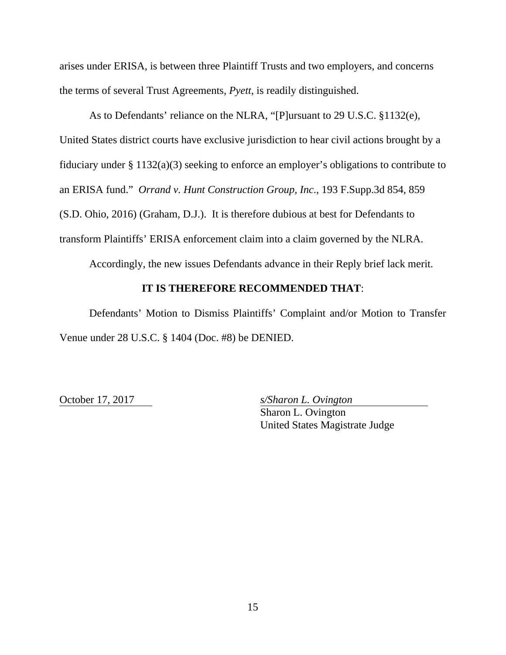arises under ERISA, is between three Plaintiff Trusts and two employers, and concerns the terms of several Trust Agreements, *Pyett*, is readily distinguished.

As to Defendants' reliance on the NLRA, "[P]ursuant to 29 U.S.C. §1132(e), United States district courts have exclusive jurisdiction to hear civil actions brought by a fiduciary under § 1132(a)(3) seeking to enforce an employer's obligations to contribute to an ERISA fund." *Orrand v. Hunt Construction Group, Inc*., 193 F.Supp.3d 854, 859 (S.D. Ohio, 2016) (Graham, D.J.). It is therefore dubious at best for Defendants to transform Plaintiffs' ERISA enforcement claim into a claim governed by the NLRA.

Accordingly, the new issues Defendants advance in their Reply brief lack merit.

#### **IT IS THEREFORE RECOMMENDED THAT**:

 Defendants' Motion to Dismiss Plaintiffs' Complaint and/or Motion to Transfer Venue under 28 U.S.C. § 1404 (Doc. #8) be DENIED.

October 17, 2017 *s/Sharon L. Ovington*  Sharon L. Ovington United States Magistrate Judge